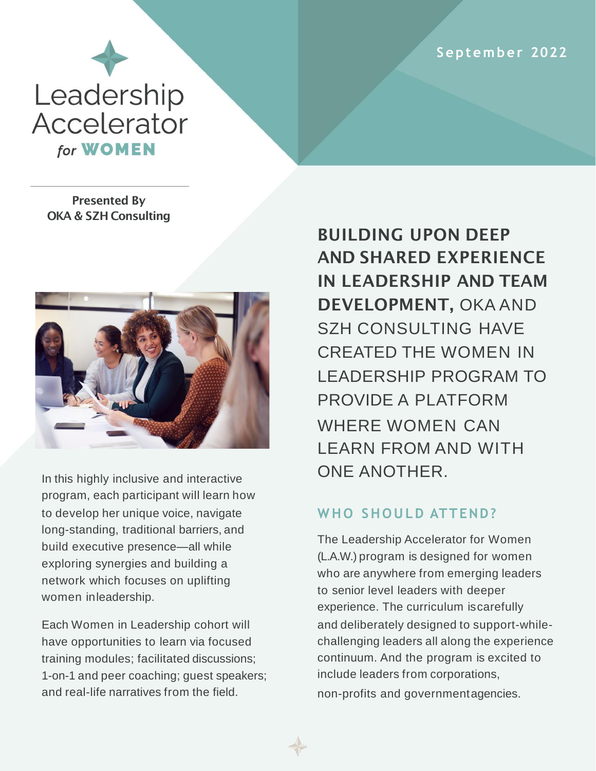**S ep tem ber 2022**



Presented By OKA & SZH Consulting



In this highly inclusive and interactive program, each participant will learn how to develop her unique voice, navigate long-standing, traditional barriers, and build executive presence—all while exploring synergies and building a network which focuses on uplifting women inleadership.

Each Women in Leadership cohort will have opportunities to learn via focused training modules; facilitated discussions; 1-on-1 and peer coaching; guest speakers; and real-life narratives from the field.

BUILDING UPON DEEP AND SHARED EXPERIENCE IN LEADERSHIP AND TEAM DEVELOPMENT, OKA AND SZH CONSULTING HAVE CREATED THE WOMEN IN LEADERSHIP PROGRAM TO PROVIDE A PLATFORM WHERE WOMEN CAN LEARN FROM AND WITH ONE ANOTHER.

# WHO SHOULD ATTEND?

The Leadership Accelerator for Women (L.A.W.) program is designed for women who are anywhere from emerging leaders to senior level leaders with deeper experience. The curriculum iscarefully and deliberately designed to support-whilechallenging leaders all along the experience continuum. And the program is excited to include leaders from corporations, non-profits and governmentagencies.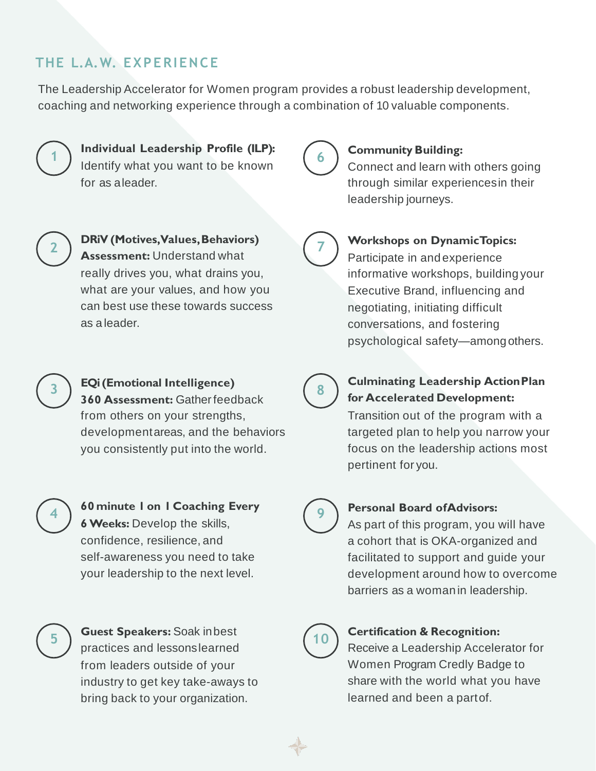# **THE L.A.W. EXPERIENCE**

The Leadership Accelerator for Women program provides a robust leadership development, coaching and networking experience through a combination of 10 valuable components.



#### **Individual Leadership Profile (ILP):** Identify what you want to be known for as aleader.



**7**

### **Community Building:**

Connect and learn with others going through similar experiencesin their leadership journeys.



**DRiV (Motives, Values,Behaviors) Assessment:** Understand what really drives you, what drains you, what are your values, and how you can best use these towards success as a leader.

### **Workshops on DynamicTopics:**

Participate in andexperience informative workshops, building your Executive Brand, influencing and negotiating, initiating difficult conversations, and fostering psychological safety—amongothers.

**3**

**EQi (Emotional Intelligence) 360 Assessment:** Gatherfeedback from others on your strengths, developmentareas, and the behaviors you consistently put into the world.



## **60 minute 1 on 1 Coaching Every 6 Weeks:** Develop the skills, confidence, resilience, and self-awareness you need to take your leadership to the next level.

**5**

**Guest Speakers:** Soak inbest practices and lessonslearned from leaders outside of your industry to get key take-aways to bring back to your organization.



## **Culminating Leadership ActionPlan for Accelerated Development:**

Transition out of the program with a targeted plan to help you narrow your focus on the leadership actions most pertinent for you.



### **Personal Board ofAdvisors:**

As part of this program, you will have a cohort that is OKA-organized and facilitated to support and guide your development around how to overcome barriers as a womanin leadership.



### **<sup>10</sup> Certification & Recognition:**

Receive a Leadership Accelerator for Women Program Credly Badge to share with the world what you have learned and been a partof.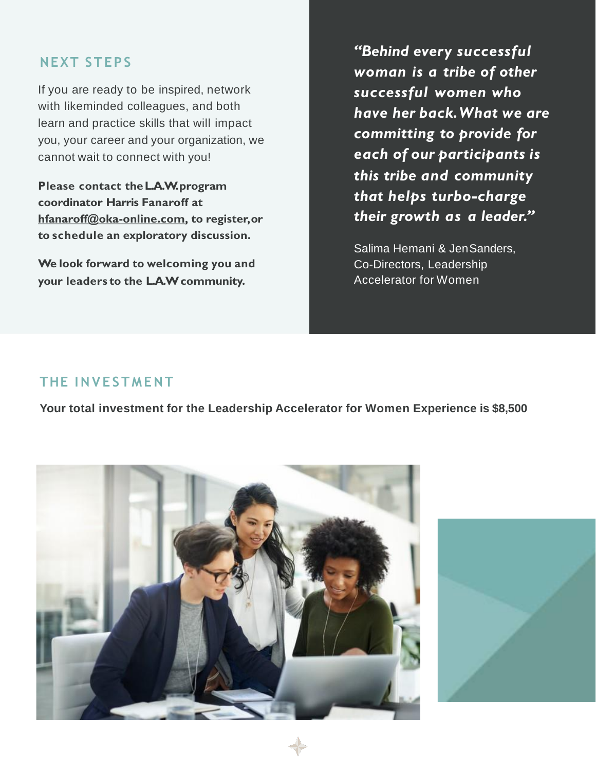## **NEXT STEPS**

If you are ready to be inspired, network with likeminded colleagues, and both learn and practice skills that will impact you, your career and your organization, we cannot wait to connect with you!

**Please contact theL.A.W. program coordinator Harris Fanaroff at [hfanaroff@oka-online.com,](mailto:hfanaroff@oka-online.com) to register,or to schedule an exploratory discussion.**

**We look forward to welcoming you and your leaders to the L.A.W community.**

*"Behind every successful woman is a tribe of other successful women who have her back.What we are committing to provide for each of our participants is this tribe and community that helps turbo-charge their growth as a leader."*

Salima Hemani & JenSanders, Co-Directors, Leadership Accelerator for Women

### **THE I N V E STME NT**

**Your total investment for the Leadership Accelerator for Women Experience is \$8,500**

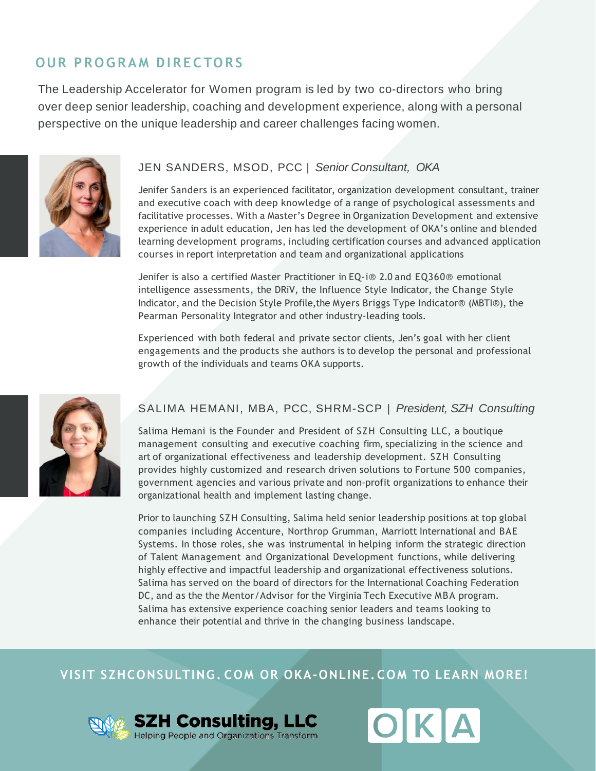## **OUR PROGRAM DIRECTORS**

The Leadership Accelerator for Women program is led by two co-directors who bring over deep senior leadership, coaching and development experience, along with a personal perspective on the unique leadership and career challenges facing women.



#### JEN SANDERS, MSOD, PCC | *Senior Consultant, OKA*

Jenifer Sanders is an experienced facilitator, organization development consultant, trainer and executive coach with deep knowledge of a range of psychological assessments and facilitative processes. With a Master's Degree in Organization Development and extensive experience in adult education, Jen has led the development of OKA's online and blended learning development programs, including certification courses and advanced application courses in report interpretation and team and organizational applications

Jenifer is also a certified Master Practitioner in EQ-i® 2.0 and EQ360® emotional intelligence assessments, the DRiV, the Influence Style Indicator, the Change Style Indicator, and the Decision Style Profile,the Myers Briggs Type Indicator® (MBTI®), the Pearman Personality Integrator and other industry-leading tools.

Experienced with both federal and private sector clients, Jen's goal with her client engagements and the products she authors is to develop the personal and professional growth of the individuals and teams OKA supports.



#### SALIMA HEMANI, MBA, PCC, SHRM-SCP | *President, SZH Consulting*

Salima Hemani is the Founder and President of SZH Consulting LLC, a boutique management consulting and executive coaching firm, specializing in the science and art of organizational effectiveness and leadership development. SZH Consulting provides highly customized and research driven solutions to Fortune 500 companies, government agencies and various private and non-profit organizations to enhance their organizational health and implement lasting change.

Prior to launching SZH Consulting, Salima held senior leadership positions at top global companies including Accenture, Northrop Grumman, Marriott International and BAE Systems. In those roles, she was instrumental in helping inform the strategic direction of Talent Management and Organizational Development functions, while delivering highly effective and impactful leadership and organizational effectiveness solutions. Salima has served on the board of directors for the International Coaching Federation DC, and as the the Mentor/Advisor for the Virginia Tech Executive MBA program. Salima has extensive experience coaching senior leaders and teams looking to enhance their potential and thrive in the changing business landscape.

## **VISIT SZHCONSULTING. COM OR OKA-ONLINE. COM TO LEARN MORE!**